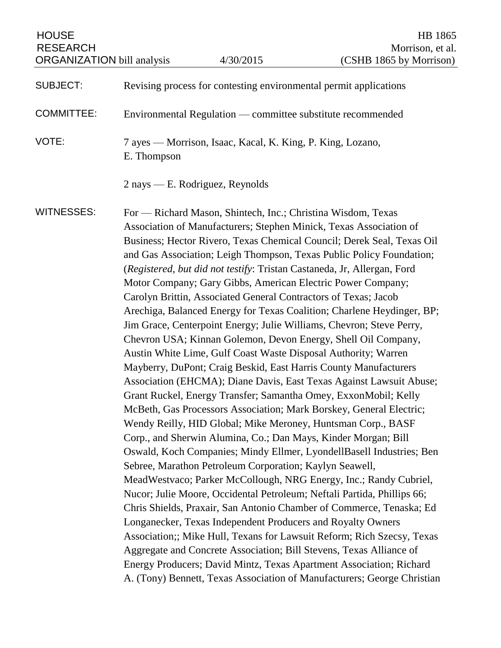| <b>HOUSE</b><br><b>RESEARCH</b><br><b>ORGANIZATION</b> bill analysis |                                                                                                                                                                                                                                                                                                                                                                                                                                                                                                                                                                                                                                                                                                                                                                                                                                                                                                                                                                                                                                                                                                                                                                                                                                                                                                                                                                                                                                                                                                                                                                                                                                                                                                                                                                                                                                                                                                                                            | 4/30/2015                       | HB 1865<br>Morrison, et al.<br>(CSHB 1865 by Morrison) |
|----------------------------------------------------------------------|--------------------------------------------------------------------------------------------------------------------------------------------------------------------------------------------------------------------------------------------------------------------------------------------------------------------------------------------------------------------------------------------------------------------------------------------------------------------------------------------------------------------------------------------------------------------------------------------------------------------------------------------------------------------------------------------------------------------------------------------------------------------------------------------------------------------------------------------------------------------------------------------------------------------------------------------------------------------------------------------------------------------------------------------------------------------------------------------------------------------------------------------------------------------------------------------------------------------------------------------------------------------------------------------------------------------------------------------------------------------------------------------------------------------------------------------------------------------------------------------------------------------------------------------------------------------------------------------------------------------------------------------------------------------------------------------------------------------------------------------------------------------------------------------------------------------------------------------------------------------------------------------------------------------------------------------|---------------------------------|--------------------------------------------------------|
|                                                                      |                                                                                                                                                                                                                                                                                                                                                                                                                                                                                                                                                                                                                                                                                                                                                                                                                                                                                                                                                                                                                                                                                                                                                                                                                                                                                                                                                                                                                                                                                                                                                                                                                                                                                                                                                                                                                                                                                                                                            |                                 |                                                        |
| <b>SUBJECT:</b>                                                      | Revising process for contesting environmental permit applications                                                                                                                                                                                                                                                                                                                                                                                                                                                                                                                                                                                                                                                                                                                                                                                                                                                                                                                                                                                                                                                                                                                                                                                                                                                                                                                                                                                                                                                                                                                                                                                                                                                                                                                                                                                                                                                                          |                                 |                                                        |
| <b>COMMITTEE:</b>                                                    | Environmental Regulation — committee substitute recommended                                                                                                                                                                                                                                                                                                                                                                                                                                                                                                                                                                                                                                                                                                                                                                                                                                                                                                                                                                                                                                                                                                                                                                                                                                                                                                                                                                                                                                                                                                                                                                                                                                                                                                                                                                                                                                                                                |                                 |                                                        |
| VOTE:                                                                | 7 ayes — Morrison, Isaac, Kacal, K. King, P. King, Lozano,<br>E. Thompson                                                                                                                                                                                                                                                                                                                                                                                                                                                                                                                                                                                                                                                                                                                                                                                                                                                                                                                                                                                                                                                                                                                                                                                                                                                                                                                                                                                                                                                                                                                                                                                                                                                                                                                                                                                                                                                                  |                                 |                                                        |
|                                                                      |                                                                                                                                                                                                                                                                                                                                                                                                                                                                                                                                                                                                                                                                                                                                                                                                                                                                                                                                                                                                                                                                                                                                                                                                                                                                                                                                                                                                                                                                                                                                                                                                                                                                                                                                                                                                                                                                                                                                            | 2 nays — E. Rodriguez, Reynolds |                                                        |
| <b>WITNESSES:</b>                                                    | For — Richard Mason, Shintech, Inc.; Christina Wisdom, Texas<br>Association of Manufacturers; Stephen Minick, Texas Association of<br>Business; Hector Rivero, Texas Chemical Council; Derek Seal, Texas Oil<br>and Gas Association; Leigh Thompson, Texas Public Policy Foundation;<br>(Registered, but did not testify: Tristan Castaneda, Jr, Allergan, Ford<br>Motor Company; Gary Gibbs, American Electric Power Company;<br>Carolyn Brittin, Associated General Contractors of Texas; Jacob<br>Arechiga, Balanced Energy for Texas Coalition; Charlene Heydinger, BP;<br>Jim Grace, Centerpoint Energy; Julie Williams, Chevron; Steve Perry,<br>Chevron USA; Kinnan Golemon, Devon Energy, Shell Oil Company,<br>Austin White Lime, Gulf Coast Waste Disposal Authority; Warren<br>Mayberry, DuPont; Craig Beskid, East Harris County Manufacturers<br>Association (EHCMA); Diane Davis, East Texas Against Lawsuit Abuse;<br>Grant Ruckel, Energy Transfer; Samantha Omey, ExxonMobil; Kelly<br>McBeth, Gas Processors Association; Mark Borskey, General Electric;<br>Wendy Reilly, HID Global; Mike Meroney, Huntsman Corp., BASF<br>Corp., and Sherwin Alumina, Co.; Dan Mays, Kinder Morgan; Bill<br>Oswald, Koch Companies; Mindy Ellmer, LyondellBasell Industries; Ben<br>Sebree, Marathon Petroleum Corporation; Kaylyn Seawell,<br>MeadWestvaco; Parker McCollough, NRG Energy, Inc.; Randy Cubriel,<br>Nucor; Julie Moore, Occidental Petroleum; Neftali Partida, Phillips 66;<br>Chris Shields, Praxair, San Antonio Chamber of Commerce, Tenaska; Ed<br>Longanecker, Texas Independent Producers and Royalty Owners<br>Association;; Mike Hull, Texans for Lawsuit Reform; Rich Szecsy, Texas<br>Aggregate and Concrete Association; Bill Stevens, Texas Alliance of<br>Energy Producers; David Mintz, Texas Apartment Association; Richard<br>A. (Tony) Bennett, Texas Association of Manufacturers; George Christian |                                 |                                                        |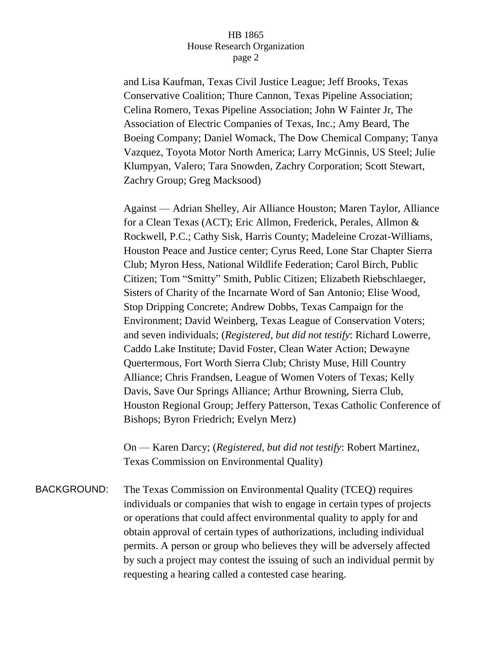and Lisa Kaufman, Texas Civil Justice League; Jeff Brooks, Texas Conservative Coalition; Thure Cannon, Texas Pipeline Association; Celina Romero, Texas Pipeline Association; John W Fainter Jr, The Association of Electric Companies of Texas, Inc.; Amy Beard, The Boeing Company; Daniel Womack, The Dow Chemical Company; Tanya Vazquez, Toyota Motor North America; Larry McGinnis, US Steel; Julie Klumpyan, Valero; Tara Snowden, Zachry Corporation; Scott Stewart, Zachry Group; Greg Macksood)

Against — Adrian Shelley, Air Alliance Houston; Maren Taylor, Alliance for a Clean Texas (ACT); Eric Allmon, Frederick, Perales, Allmon & Rockwell, P.C.; Cathy Sisk, Harris County; Madeleine Crozat-Williams, Houston Peace and Justice center; Cyrus Reed, Lone Star Chapter Sierra Club; Myron Hess, National Wildlife Federation; Carol Birch, Public Citizen; Tom "Smitty" Smith, Public Citizen; Elizabeth Riebschlaeger, Sisters of Charity of the Incarnate Word of San Antonio; Elise Wood, Stop Dripping Concrete; Andrew Dobbs, Texas Campaign for the Environment; David Weinberg, Texas League of Conservation Voters; and seven individuals; (*Registered, but did not testify*: Richard Lowerre, Caddo Lake Institute; David Foster, Clean Water Action; Dewayne Quertermous, Fort Worth Sierra Club; Christy Muse, Hill Country Alliance; Chris Frandsen, League of Women Voters of Texas; Kelly Davis, Save Our Springs Alliance; Arthur Browning, Sierra Club, Houston Regional Group; Jeffery Patterson, Texas Catholic Conference of Bishops; Byron Friedrich; Evelyn Merz)

On — Karen Darcy; (*Registered, but did not testify*: Robert Martinez, Texas Commission on Environmental Quality)

BACKGROUND: The Texas Commission on Environmental Quality (TCEQ) requires individuals or companies that wish to engage in certain types of projects or operations that could affect environmental quality to apply for and obtain approval of certain types of authorizations, including individual permits. A person or group who believes they will be adversely affected by such a project may contest the issuing of such an individual permit by requesting a hearing called a contested case hearing.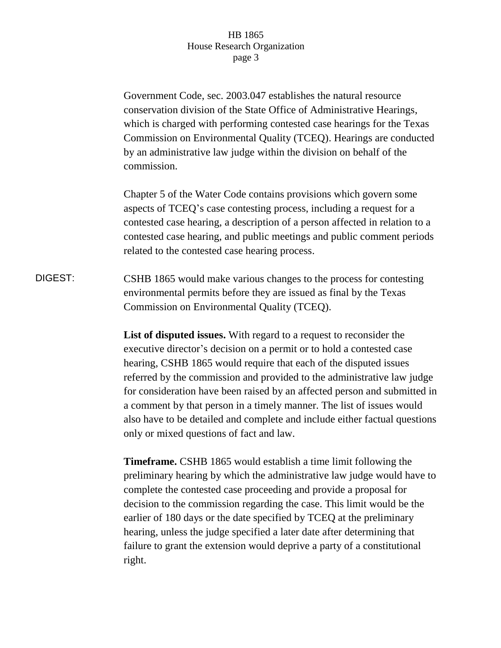Government Code, sec. 2003.047 establishes the natural resource conservation division of the State Office of Administrative Hearings, which is charged with performing contested case hearings for the Texas Commission on Environmental Quality (TCEQ). Hearings are conducted by an administrative law judge within the division on behalf of the commission.

Chapter 5 of the Water Code contains provisions which govern some aspects of TCEQ's case contesting process, including a request for a contested case hearing, a description of a person affected in relation to a contested case hearing, and public meetings and public comment periods related to the contested case hearing process.

DIGEST: CSHB 1865 would make various changes to the process for contesting environmental permits before they are issued as final by the Texas Commission on Environmental Quality (TCEQ).

> **List of disputed issues.** With regard to a request to reconsider the executive director's decision on a permit or to hold a contested case hearing, CSHB 1865 would require that each of the disputed issues referred by the commission and provided to the administrative law judge for consideration have been raised by an affected person and submitted in a comment by that person in a timely manner. The list of issues would also have to be detailed and complete and include either factual questions only or mixed questions of fact and law.

> **Timeframe.** CSHB 1865 would establish a time limit following the preliminary hearing by which the administrative law judge would have to complete the contested case proceeding and provide a proposal for decision to the commission regarding the case. This limit would be the earlier of 180 days or the date specified by TCEQ at the preliminary hearing, unless the judge specified a later date after determining that failure to grant the extension would deprive a party of a constitutional right.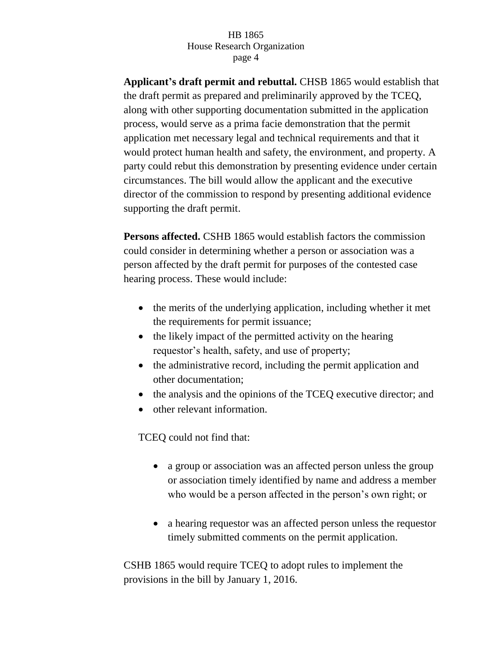**Applicant's draft permit and rebuttal.** CHSB 1865 would establish that the draft permit as prepared and preliminarily approved by the TCEQ, along with other supporting documentation submitted in the application process, would serve as a prima facie demonstration that the permit application met necessary legal and technical requirements and that it would protect human health and safety, the environment, and property. A party could rebut this demonstration by presenting evidence under certain circumstances. The bill would allow the applicant and the executive director of the commission to respond by presenting additional evidence supporting the draft permit.

**Persons affected.** CSHB 1865 would establish factors the commission could consider in determining whether a person or association was a person affected by the draft permit for purposes of the contested case hearing process. These would include:

- the merits of the underlying application, including whether it met the requirements for permit issuance;
- the likely impact of the permitted activity on the hearing requestor's health, safety, and use of property;
- the administrative record, including the permit application and other documentation;
- the analysis and the opinions of the TCEQ executive director; and
- other relevant information.

TCEQ could not find that:

- a group or association was an affected person unless the group or association timely identified by name and address a member who would be a person affected in the person's own right; or
- a hearing requestor was an affected person unless the requestor timely submitted comments on the permit application.

CSHB 1865 would require TCEQ to adopt rules to implement the provisions in the bill by January 1, 2016.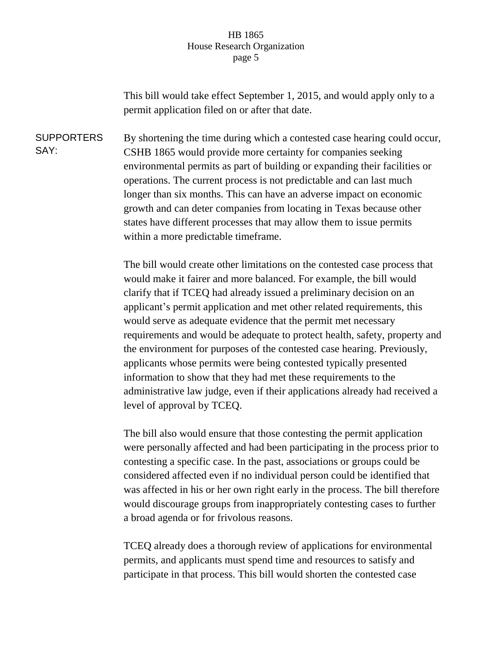This bill would take effect September 1, 2015, and would apply only to a permit application filed on or after that date.

**SUPPORTERS** SAY: By shortening the time during which a contested case hearing could occur, CSHB 1865 would provide more certainty for companies seeking environmental permits as part of building or expanding their facilities or operations. The current process is not predictable and can last much longer than six months. This can have an adverse impact on economic growth and can deter companies from locating in Texas because other states have different processes that may allow them to issue permits within a more predictable timeframe.

> The bill would create other limitations on the contested case process that would make it fairer and more balanced. For example, the bill would clarify that if TCEQ had already issued a preliminary decision on an applicant's permit application and met other related requirements, this would serve as adequate evidence that the permit met necessary requirements and would be adequate to protect health, safety, property and the environment for purposes of the contested case hearing. Previously, applicants whose permits were being contested typically presented information to show that they had met these requirements to the administrative law judge, even if their applications already had received a level of approval by TCEQ.

> The bill also would ensure that those contesting the permit application were personally affected and had been participating in the process prior to contesting a specific case. In the past, associations or groups could be considered affected even if no individual person could be identified that was affected in his or her own right early in the process. The bill therefore would discourage groups from inappropriately contesting cases to further a broad agenda or for frivolous reasons.

TCEQ already does a thorough review of applications for environmental permits, and applicants must spend time and resources to satisfy and participate in that process. This bill would shorten the contested case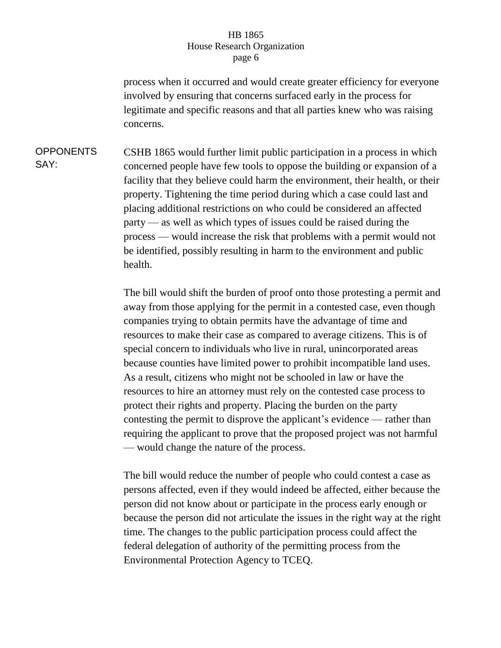process when it occurred and would create greater efficiency for everyone involved by ensuring that concerns surfaced early in the process for legitimate and specific reasons and that all parties knew who was raising concerns.

OPPONENTS SAY: CSHB 1865 would further limit public participation in a process in which concerned people have few tools to oppose the building or expansion of a facility that they believe could harm the environment, their health, or their property. Tightening the time period during which a case could last and placing additional restrictions on who could be considered an affected party — as well as which types of issues could be raised during the process — would increase the risk that problems with a permit would not be identified, possibly resulting in harm to the environment and public health.

> The bill would shift the burden of proof onto those protesting a permit and away from those applying for the permit in a contested case, even though companies trying to obtain permits have the advantage of time and resources to make their case as compared to average citizens. This is of special concern to individuals who live in rural, unincorporated areas because counties have limited power to prohibit incompatible land uses. As a result, citizens who might not be schooled in law or have the resources to hire an attorney must rely on the contested case process to protect their rights and property. Placing the burden on the party contesting the permit to disprove the applicant's evidence — rather than requiring the applicant to prove that the proposed project was not harmful — would change the nature of the process.

> The bill would reduce the number of people who could contest a case as persons affected, even if they would indeed be affected, either because the person did not know about or participate in the process early enough or because the person did not articulate the issues in the right way at the right time. The changes to the public participation process could affect the federal delegation of authority of the permitting process from the Environmental Protection Agency to TCEQ.